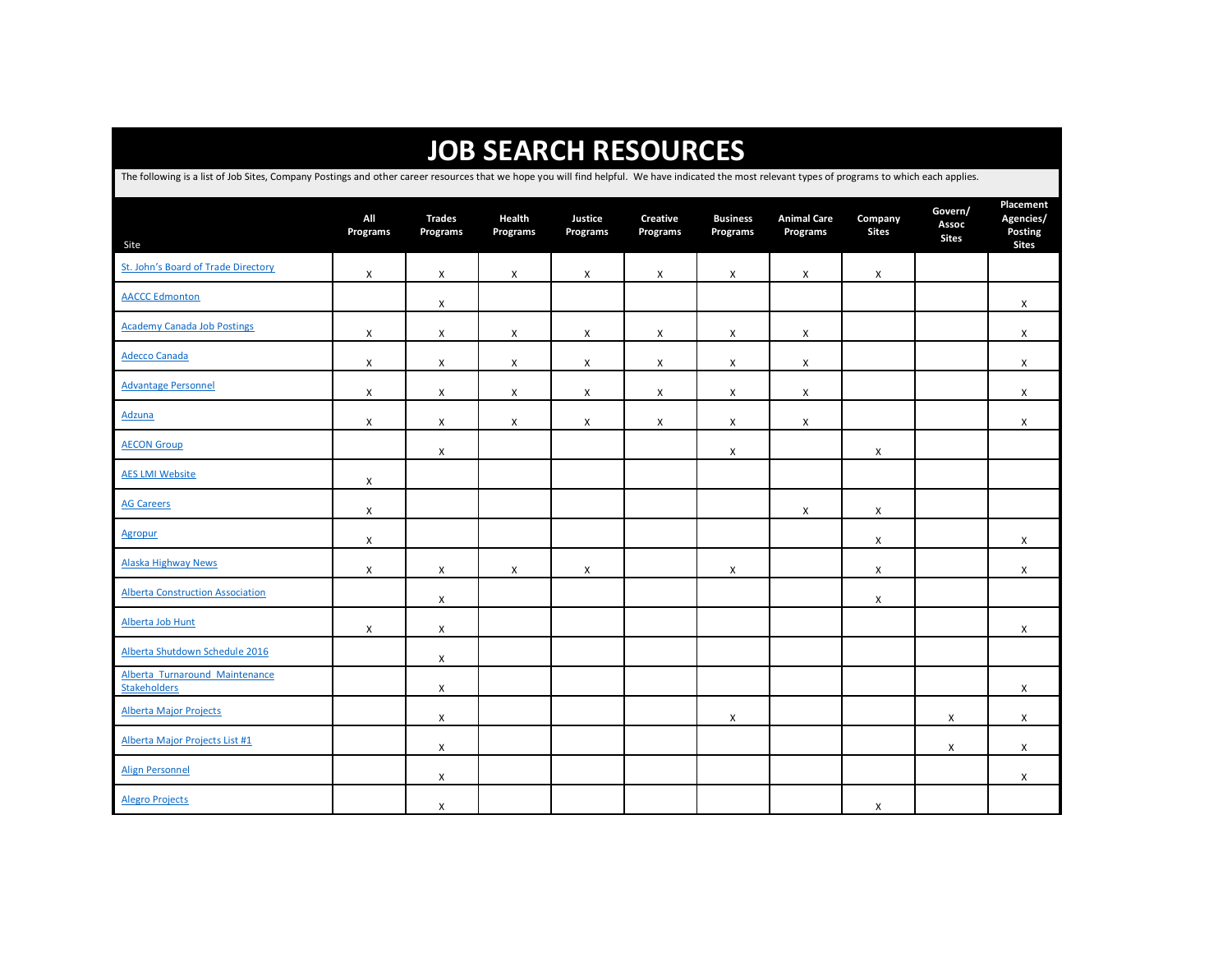| <b>JOB SEARCH RESOURCES</b>                                                                                                                                                                        |                 |                           |                           |                     |                             |                             |                                |                           |                                  |                                                   |  |  |  |
|----------------------------------------------------------------------------------------------------------------------------------------------------------------------------------------------------|-----------------|---------------------------|---------------------------|---------------------|-----------------------------|-----------------------------|--------------------------------|---------------------------|----------------------------------|---------------------------------------------------|--|--|--|
| The following is a list of Job Sites, Company Postings and other career resources that we hope you will find helpful. We have indicated the most relevant types of programs to which each applies. |                 |                           |                           |                     |                             |                             |                                |                           |                                  |                                                   |  |  |  |
| Site                                                                                                                                                                                               | All<br>Programs | <b>Trades</b><br>Programs | Health<br>Programs        | Justice<br>Programs | <b>Creative</b><br>Programs | <b>Business</b><br>Programs | <b>Animal Care</b><br>Programs | Company<br><b>Sites</b>   | Govern/<br>Assoc<br><b>Sites</b> | Placement<br>Agencies/<br>Posting<br><b>Sites</b> |  |  |  |
| St. John's Board of Trade Directory                                                                                                                                                                | X               | X                         | $\boldsymbol{\mathsf{x}}$ | X                   | X                           | X                           | X                              | $\boldsymbol{\mathsf{x}}$ |                                  |                                                   |  |  |  |
| <b>AACCC Edmonton</b>                                                                                                                                                                              |                 | X                         |                           |                     |                             |                             |                                |                           |                                  | X                                                 |  |  |  |
| <b>Academy Canada Job Postings</b>                                                                                                                                                                 | X               | X                         | X                         | X                   | $\pmb{\chi}$                | X                           | X                              |                           |                                  | X                                                 |  |  |  |
| <b>Adecco Canada</b>                                                                                                                                                                               | X               | X                         | X                         | X                   | $\pmb{\times}$              | X                           | X                              |                           |                                  | X                                                 |  |  |  |
| <b>Advantage Personnel</b>                                                                                                                                                                         | X               | X                         | X                         | X                   | X                           | X                           | X                              |                           |                                  | X                                                 |  |  |  |
| <b>Adzuna</b>                                                                                                                                                                                      | X               | X                         | $\boldsymbol{\mathsf{x}}$ | X                   | X                           | X                           | X                              |                           |                                  | X                                                 |  |  |  |
| <b>AECON Group</b>                                                                                                                                                                                 |                 | X                         |                           |                     |                             | X                           |                                | $\boldsymbol{\mathsf{x}}$ |                                  |                                                   |  |  |  |
| <b>AES LMI Website</b>                                                                                                                                                                             | X               |                           |                           |                     |                             |                             |                                |                           |                                  |                                                   |  |  |  |
| <b>AG Careers</b>                                                                                                                                                                                  | X               |                           |                           |                     |                             |                             | X                              | X                         |                                  |                                                   |  |  |  |
| <b>Agropur</b>                                                                                                                                                                                     | X               |                           |                           |                     |                             |                             |                                | X                         |                                  | X                                                 |  |  |  |
| <b>Alaska Highway News</b>                                                                                                                                                                         | X               | X                         | X                         | X                   |                             | Χ                           |                                | $\boldsymbol{\mathsf{x}}$ |                                  | X                                                 |  |  |  |
| <b>Alberta Construction Association</b>                                                                                                                                                            |                 | X                         |                           |                     |                             |                             |                                | $\boldsymbol{\mathsf{x}}$ |                                  |                                                   |  |  |  |
| Alberta Job Hunt                                                                                                                                                                                   | X               | X                         |                           |                     |                             |                             |                                |                           |                                  | X                                                 |  |  |  |
| Alberta Shutdown Schedule 2016                                                                                                                                                                     |                 | X                         |                           |                     |                             |                             |                                |                           |                                  |                                                   |  |  |  |
| Alberta Turnaround Maintenance<br><b>Stakeholders</b>                                                                                                                                              |                 | X                         |                           |                     |                             |                             |                                |                           |                                  | X                                                 |  |  |  |
| <b>Alberta Major Projects</b>                                                                                                                                                                      |                 | X                         |                           |                     |                             | X                           |                                |                           | X                                | X                                                 |  |  |  |
| Alberta Major Projects List #1                                                                                                                                                                     |                 | X                         |                           |                     |                             |                             |                                |                           | X                                | X                                                 |  |  |  |
| <b>Align Personnel</b>                                                                                                                                                                             |                 | X                         |                           |                     |                             |                             |                                |                           |                                  | X                                                 |  |  |  |
| <b>Alegro Projects</b>                                                                                                                                                                             |                 | X                         |                           |                     |                             |                             |                                | X                         |                                  |                                                   |  |  |  |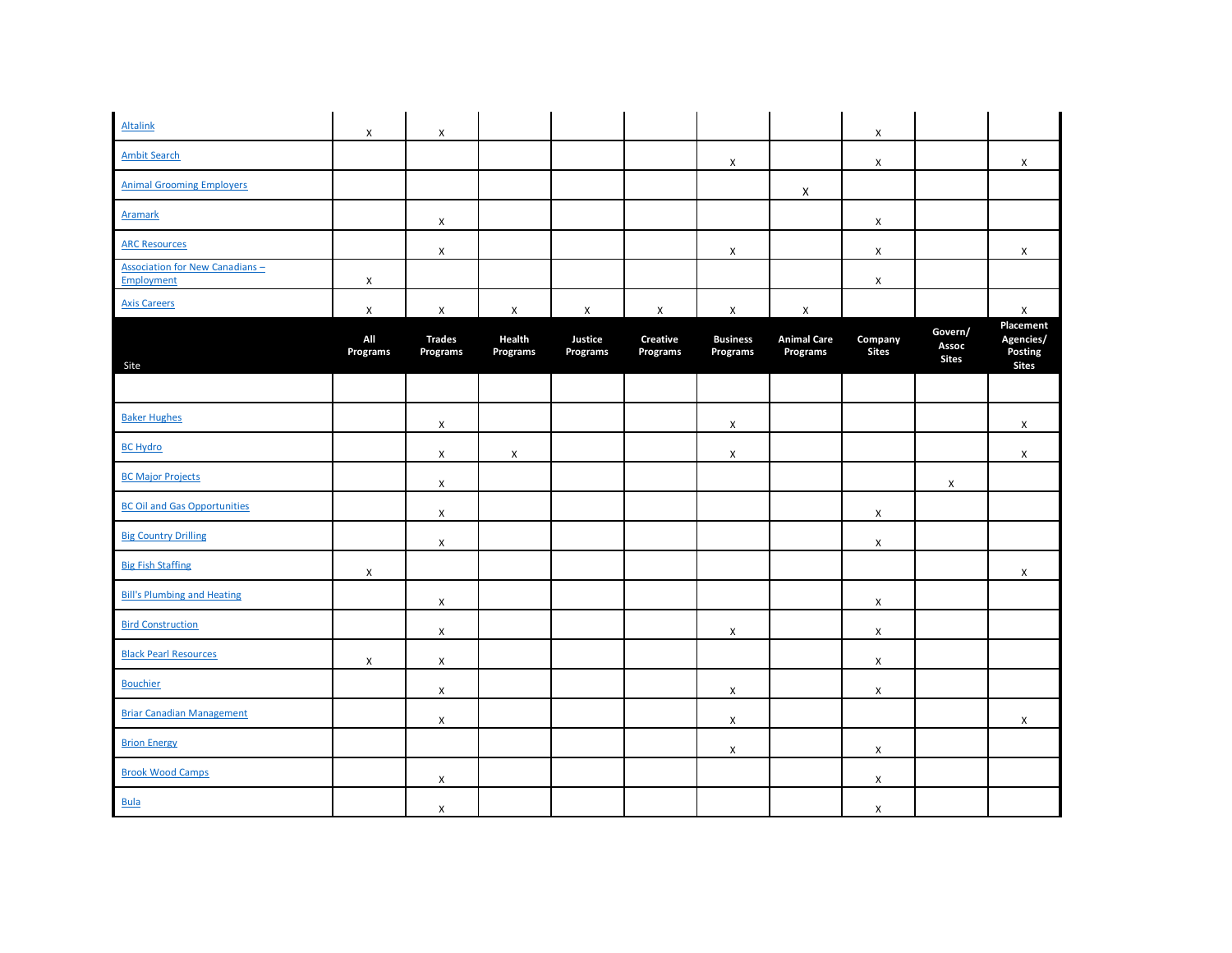| <b>Altalink</b>                                      | $\pmb{\chi}$    | X                         |                           |                           |                             |                             |                                | X                       |                                  |                                                   |
|------------------------------------------------------|-----------------|---------------------------|---------------------------|---------------------------|-----------------------------|-----------------------------|--------------------------------|-------------------------|----------------------------------|---------------------------------------------------|
| <b>Ambit Search</b>                                  |                 |                           |                           |                           |                             | X                           |                                | X                       |                                  | X                                                 |
| <b>Animal Grooming Employers</b>                     |                 |                           |                           |                           |                             |                             | $\pmb{\times}$                 |                         |                                  |                                                   |
| <b>Aramark</b>                                       |                 | X                         |                           |                           |                             |                             |                                | X                       |                                  |                                                   |
| <b>ARC Resources</b>                                 |                 | X                         |                           |                           |                             | X                           |                                | X                       |                                  | X                                                 |
| <b>Association for New Canadians -</b><br>Employment | X               |                           |                           |                           |                             |                             |                                | X                       |                                  |                                                   |
| <b>Axis Careers</b>                                  | $\pmb{\chi}$    | X                         | X                         | $\boldsymbol{\mathsf{X}}$ | X                           | X                           | $\pmb{\chi}$                   |                         |                                  | $\pmb{\chi}$                                      |
| Site                                                 | All<br>Programs | <b>Trades</b><br>Programs | Health<br><b>Programs</b> | Justice<br>Programs       | <b>Creative</b><br>Programs | <b>Business</b><br>Programs | <b>Animal Care</b><br>Programs | Company<br><b>Sites</b> | Govern/<br>Assoc<br><b>Sites</b> | Placement<br>Agencies/<br>Posting<br><b>Sites</b> |
|                                                      |                 |                           |                           |                           |                             |                             |                                |                         |                                  |                                                   |
| <b>Baker Hughes</b>                                  |                 | X                         |                           |                           |                             | X                           |                                |                         |                                  | X                                                 |
| <b>BC Hydro</b>                                      |                 | X                         | X                         |                           |                             | X                           |                                |                         |                                  | X                                                 |
| <b>BC Major Projects</b>                             |                 | $\pmb{\mathsf{X}}$        |                           |                           |                             |                             |                                |                         | X                                |                                                   |
| <b>BC Oil and Gas Opportunities</b>                  |                 | $\pmb{\times}$            |                           |                           |                             |                             |                                | X                       |                                  |                                                   |
| <b>Big Country Drilling</b>                          |                 | X                         |                           |                           |                             |                             |                                | X                       |                                  |                                                   |
| <b>Big Fish Staffing</b>                             | X               |                           |                           |                           |                             |                             |                                |                         |                                  | X                                                 |
| <b>Bill's Plumbing and Heating</b>                   |                 | X                         |                           |                           |                             |                             |                                | X                       |                                  |                                                   |
| <b>Bird Construction</b>                             |                 | X                         |                           |                           |                             | $\pmb{\mathsf{X}}$          |                                | $\pmb{\mathsf{X}}$      |                                  |                                                   |
| <b>Black Pearl Resources</b>                         | X               | X                         |                           |                           |                             |                             |                                | X                       |                                  |                                                   |
| <b>Bouchier</b>                                      |                 | X                         |                           |                           |                             | X                           |                                | X                       |                                  |                                                   |
| <b>Briar Canadian Management</b>                     |                 | $\mathsf{x}$              |                           |                           |                             | X                           |                                |                         |                                  | X                                                 |
| <b>Brion Energy</b>                                  |                 |                           |                           |                           |                             | X                           |                                | $\pmb{\mathsf{X}}$      |                                  |                                                   |
| <b>Brook Wood Camps</b>                              |                 | $\pmb{\times}$            |                           |                           |                             |                             |                                | $\pmb{\mathsf{X}}$      |                                  |                                                   |
| <b>Bula</b>                                          |                 | X                         |                           |                           |                             |                             |                                | X                       |                                  |                                                   |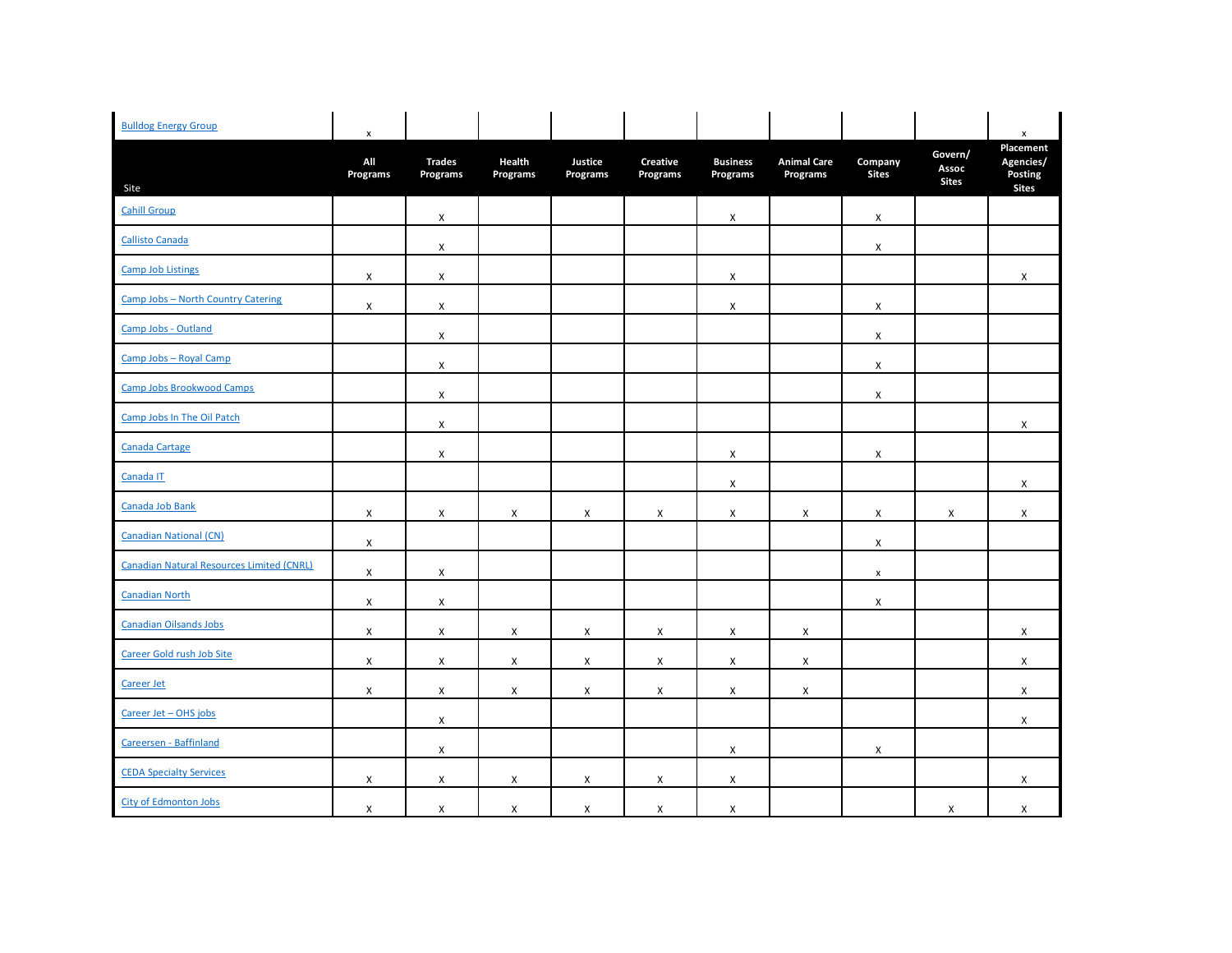| <b>Bulldog Energy Group</b>               | $\pmb{\mathsf{x}}$        |                           |                    |                     |                      |                             |                                |                         |                                  | $\pmb{\mathsf{x}}$                                |
|-------------------------------------------|---------------------------|---------------------------|--------------------|---------------------|----------------------|-----------------------------|--------------------------------|-------------------------|----------------------------------|---------------------------------------------------|
| Site                                      | All<br>Programs           | <b>Trades</b><br>Programs | Health<br>Programs | Justice<br>Programs | Creative<br>Programs | <b>Business</b><br>Programs | <b>Animal Care</b><br>Programs | Company<br><b>Sites</b> | Govern/<br>Assoc<br><b>Sites</b> | Placement<br>Agencies/<br>Posting<br><b>Sites</b> |
| <b>Cahill Group</b>                       |                           | X                         |                    |                     |                      | X                           |                                | X                       |                                  |                                                   |
| <b>Callisto Canada</b>                    |                           | $\mathsf{x}$              |                    |                     |                      |                             |                                | X                       |                                  |                                                   |
| <b>Camp Job Listings</b>                  | $\mathsf{X}$              | $\mathsf{X}$              |                    |                     |                      | X                           |                                |                         |                                  | X                                                 |
| Camp Jobs - North Country Catering        | $\pmb{\times}$            | X                         |                    |                     |                      | X                           |                                | $\pmb{\times}$          |                                  |                                                   |
| Camp Jobs - Outland                       |                           | X                         |                    |                     |                      |                             |                                | X                       |                                  |                                                   |
| Camp Jobs - Royal Camp                    |                           | X                         |                    |                     |                      |                             |                                | $\pmb{\times}$          |                                  |                                                   |
| Camp Jobs Brookwood Camps                 |                           | $\pmb{\mathsf{X}}$        |                    |                     |                      |                             |                                | $\pmb{\times}$          |                                  |                                                   |
| Camp Jobs In The Oil Patch                |                           | X                         |                    |                     |                      |                             |                                |                         |                                  | X                                                 |
| Canada Cartage                            |                           | X                         |                    |                     |                      | X                           |                                | $\pmb{\times}$          |                                  |                                                   |
| Canada IT                                 |                           |                           |                    |                     |                      | $\times$                    |                                |                         |                                  | X                                                 |
| Canada Job Bank                           | X                         | X                         | $\pmb{\times}$     | $\pmb{\times}$      | $\mathsf{x}$         | X                           | X                              | X                       | X                                | X                                                 |
| <b>Canadian National (CN)</b>             | $\boldsymbol{\mathsf{X}}$ |                           |                    |                     |                      |                             |                                | X                       |                                  |                                                   |
| Canadian Natural Resources Limited (CNRL) | $\mathsf{X}$              | $\pmb{\mathsf{X}}$        |                    |                     |                      |                             |                                | $\pmb{\mathsf{x}}$      |                                  |                                                   |
| <b>Canadian North</b>                     | X                         | X                         |                    |                     |                      |                             |                                | X                       |                                  |                                                   |
| Canadian Oilsands Jobs                    | X                         | $\mathsf{x}$              | X                  | $\mathsf{X}$        | $\mathsf{X}$         | $\boldsymbol{\mathsf{X}}$   | X                              |                         |                                  | X                                                 |
| Career Gold rush Job Site                 | X                         | X                         | $\pmb{\times}$     | $\pmb{\times}$      | $\pmb{\times}$       | X                           | $\pmb{\times}$                 |                         |                                  | X                                                 |
| Career Jet                                | X                         | $\mathsf{x}$              | $\pmb{\times}$     | $\pmb{\times}$      | $\mathsf{X}$         | X                           | X                              |                         |                                  | X                                                 |
| Career Jet - OHS jobs                     |                           | X                         |                    |                     |                      |                             |                                |                         |                                  | X                                                 |
| Careersen - Baffinland                    |                           | $\mathsf{x}$              |                    |                     |                      | X                           |                                | X                       |                                  |                                                   |
| <b>CEDA Specialty Services</b>            | X                         | X                         | X                  | $\pmb{\times}$      | X                    | X                           |                                |                         |                                  | X                                                 |
| City of Edmonton Jobs                     | X                         | X                         | X                  | $\pmb{\chi}$        | $\mathsf{X}$         | X                           |                                |                         | $\pmb{\chi}$                     | $\mathsf{X}$                                      |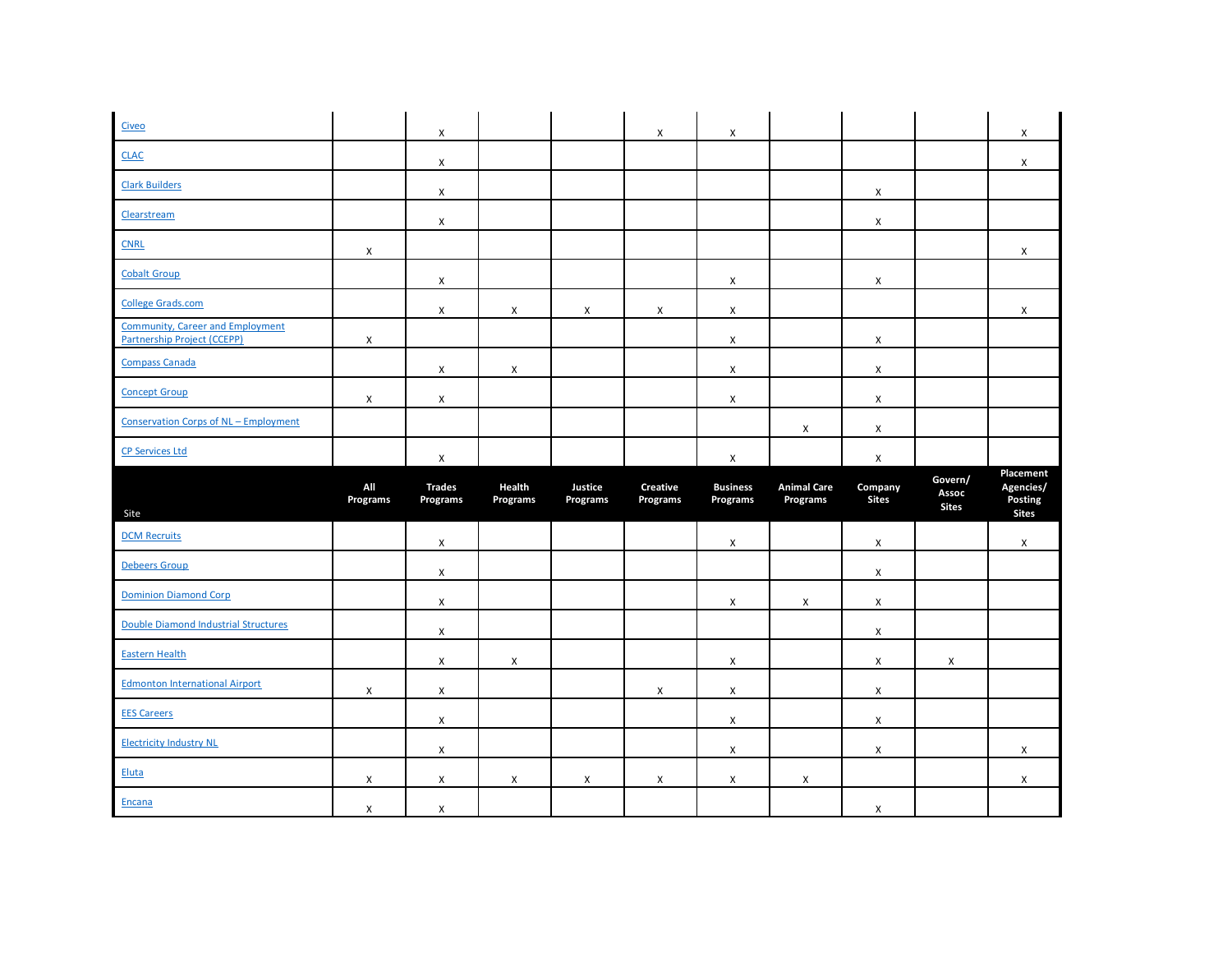| Civeo                                                                         |                 | $\mathsf{x}$              |                    |                     | X                           | X                           |                                |                         |                                  | X                                                 |
|-------------------------------------------------------------------------------|-----------------|---------------------------|--------------------|---------------------|-----------------------------|-----------------------------|--------------------------------|-------------------------|----------------------------------|---------------------------------------------------|
| <b>CLAC</b>                                                                   |                 | X                         |                    |                     |                             |                             |                                |                         |                                  | X                                                 |
| <b>Clark Builders</b>                                                         |                 | X                         |                    |                     |                             |                             |                                | X                       |                                  |                                                   |
| Clearstream                                                                   |                 | X                         |                    |                     |                             |                             |                                | X                       |                                  |                                                   |
| <b>CNRL</b>                                                                   | X               |                           |                    |                     |                             |                             |                                |                         |                                  | X                                                 |
| <b>Cobalt Group</b>                                                           |                 | $\pmb{\mathsf{X}}$        |                    |                     |                             | $\pmb{\mathsf{X}}$          |                                | X                       |                                  |                                                   |
| <b>College Grads.com</b>                                                      |                 | X                         | X                  | X                   | X                           | X                           |                                |                         |                                  | X                                                 |
| <b>Community, Career and Employment</b><br><b>Partnership Project (CCEPP)</b> | X               |                           |                    |                     |                             | X                           |                                | X                       |                                  |                                                   |
| <b>Compass Canada</b>                                                         |                 | X                         | X                  |                     |                             | X                           |                                | X                       |                                  |                                                   |
| <b>Concept Group</b>                                                          | X               | X                         |                    |                     |                             | X                           |                                | X                       |                                  |                                                   |
| <b>Conservation Corps of NL - Employment</b>                                  |                 |                           |                    |                     |                             |                             | X                              | X                       |                                  |                                                   |
| <b>CP Services Ltd</b>                                                        |                 | X                         |                    |                     |                             | $\pmb{\chi}$                |                                | X                       |                                  |                                                   |
|                                                                               |                 |                           |                    |                     |                             |                             |                                |                         |                                  |                                                   |
| Site                                                                          | All<br>Programs | <b>Trades</b><br>Programs | Health<br>Programs | Justice<br>Programs | <b>Creative</b><br>Programs | <b>Business</b><br>Programs | <b>Animal Care</b><br>Programs | Company<br><b>Sites</b> | Govern/<br>Assoc<br><b>Sites</b> | Placement<br>Agencies/<br>Posting<br><b>Sites</b> |
| <b>DCM Recruits</b>                                                           |                 | X                         |                    |                     |                             | X                           |                                | X                       |                                  | X                                                 |
| <b>Debeers Group</b>                                                          |                 | $\pmb{\mathsf{X}}$        |                    |                     |                             |                             |                                | X                       |                                  |                                                   |
| <b>Dominion Diamond Corp</b>                                                  |                 | X                         |                    |                     |                             | X                           | X                              | X                       |                                  |                                                   |
| Double Diamond Industrial Structures                                          |                 | X                         |                    |                     |                             |                             |                                | X                       |                                  |                                                   |
| <b>Eastern Health</b>                                                         |                 | X                         | X                  |                     |                             | X                           |                                | X                       | X                                |                                                   |
| <b>Edmonton International Airport</b>                                         | X               | $\mathsf{X}$              |                    |                     | X                           | X                           |                                | X                       |                                  |                                                   |
| <b>EES Careers</b>                                                            |                 | X                         |                    |                     |                             | X                           |                                | X                       |                                  |                                                   |
| <b>Electricity Industry NL</b>                                                |                 | $\mathsf{x}$              |                    |                     |                             | X                           |                                | X                       |                                  | X                                                 |
| <b>Eluta</b>                                                                  | X               | $\mathsf X$               | X                  | X                   | X                           | X                           | X                              |                         |                                  | $\mathsf X$                                       |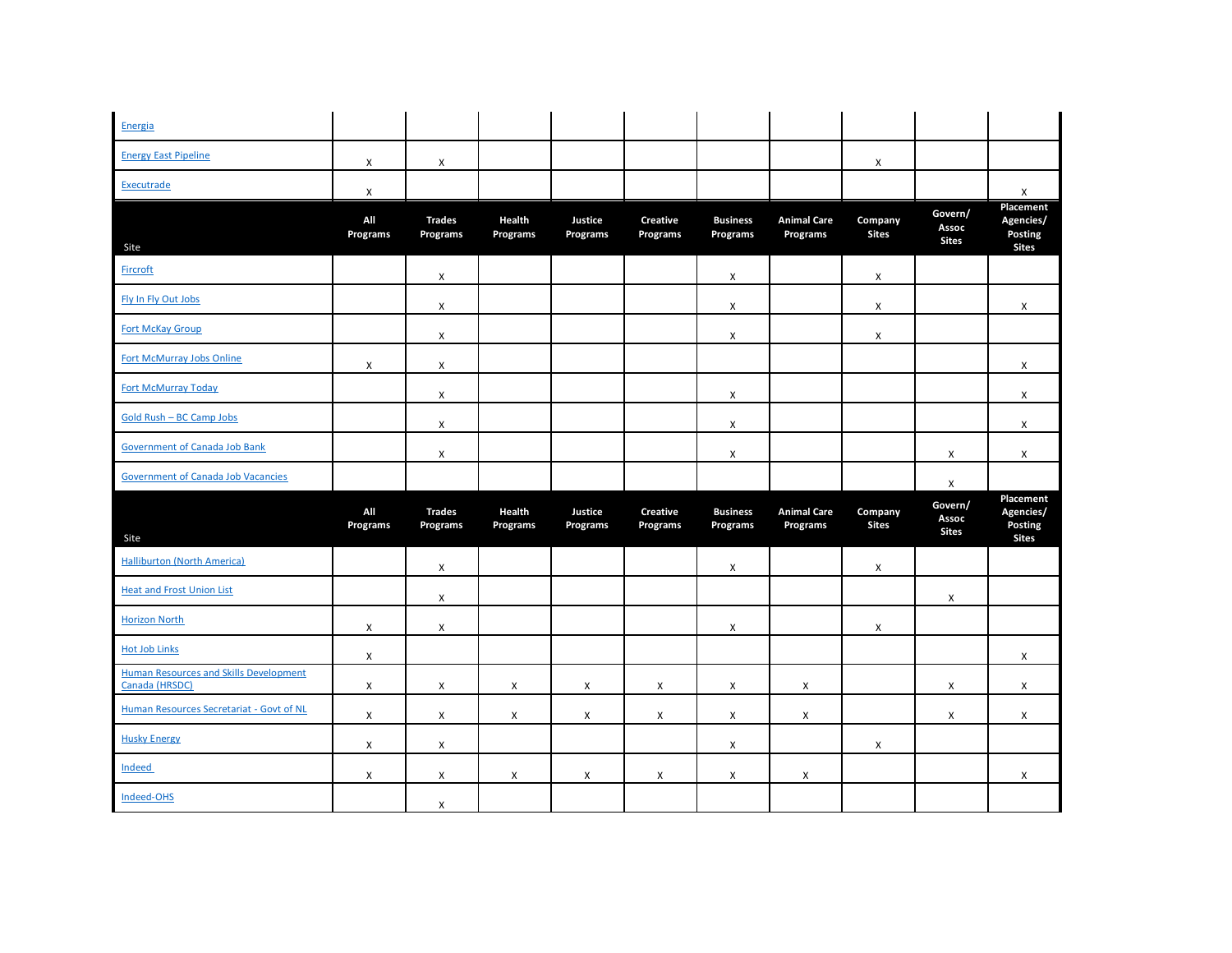| Energia                                                  |                           |                           |                    |                     |                             |                             |                                |                         |                                  |                                                   |
|----------------------------------------------------------|---------------------------|---------------------------|--------------------|---------------------|-----------------------------|-----------------------------|--------------------------------|-------------------------|----------------------------------|---------------------------------------------------|
| <b>Energy East Pipeline</b>                              | $\pmb{\chi}$              | X                         |                    |                     |                             |                             |                                | X                       |                                  |                                                   |
| Executrade                                               | $\pmb{\times}$            |                           |                    |                     |                             |                             |                                |                         |                                  | $\pmb{\times}$                                    |
| Site                                                     | All<br>Programs           | <b>Trades</b><br>Programs | Health<br>Programs | Justice<br>Programs | <b>Creative</b><br>Programs | <b>Business</b><br>Programs | <b>Animal Care</b><br>Programs | Company<br><b>Sites</b> | Govern/<br>Assoc<br><b>Sites</b> | Placement<br>Agencies/<br>Posting<br><b>Sites</b> |
| Fircroft                                                 |                           | X                         |                    |                     |                             | X                           |                                | X                       |                                  |                                                   |
| Fly In Fly Out Jobs                                      |                           | X                         |                    |                     |                             | X                           |                                | X                       |                                  | X                                                 |
| <b>Fort McKay Group</b>                                  |                           | X                         |                    |                     |                             | X                           |                                | X                       |                                  |                                                   |
| <b>Fort McMurray Jobs Online</b>                         | X                         | X                         |                    |                     |                             |                             |                                |                         |                                  | X                                                 |
| <b>Fort McMurray Today</b>                               |                           | X                         |                    |                     |                             | X                           |                                |                         |                                  | X                                                 |
| Gold Rush - BC Camp Jobs                                 |                           | $\mathsf{X}$              |                    |                     |                             | X                           |                                |                         |                                  | X                                                 |
| <b>Government of Canada Job Bank</b>                     |                           | X                         |                    |                     |                             | X                           |                                |                         | X                                | X                                                 |
|                                                          |                           |                           |                    |                     |                             |                             |                                |                         |                                  |                                                   |
| <b>Government of Canada Job Vacancies</b>                |                           |                           |                    |                     |                             |                             |                                |                         | X                                |                                                   |
| Site                                                     | All<br>Programs           | <b>Trades</b><br>Programs | Health<br>Programs | Justice<br>Programs | Creative<br>Programs        | <b>Business</b><br>Programs | <b>Animal Care</b><br>Programs | Company<br><b>Sites</b> | Govern/<br>Assoc<br><b>Sites</b> | Placement<br>Agencies/<br>Posting<br><b>Sites</b> |
| <b>Halliburton (North America)</b>                       |                           | X                         |                    |                     |                             | X                           |                                | X                       |                                  |                                                   |
| <b>Heat and Frost Union List</b>                         |                           | $\pmb{\times}$            |                    |                     |                             |                             |                                |                         | X                                |                                                   |
| <b>Horizon North</b>                                     | X                         | X                         |                    |                     |                             | X                           |                                | X                       |                                  |                                                   |
| <b>Hot Job Links</b>                                     | X                         |                           |                    |                     |                             |                             |                                |                         |                                  | X                                                 |
| Human Resources and Skills Development<br>Canada (HRSDC) | $\boldsymbol{\mathsf{x}}$ | $\mathsf{x}$              | $\pmb{\chi}$       | $\mathsf{X}$        | $\mathsf{x}$                | X                           | X                              |                         | X                                | $\mathsf{X}$                                      |
| Human Resources Secretariat - Govt of NL                 | $\boldsymbol{\mathsf{x}}$ | X                         | X                  | $\pmb{\times}$      | $\mathsf{X}$                | X                           | X                              |                         | X                                | X                                                 |
| <b>Husky Energy</b>                                      | X                         | X                         |                    |                     |                             | X                           |                                | X                       |                                  |                                                   |
| Indeed                                                   | X                         | X                         | X                  | $\pmb{\chi}$        | X                           | X                           | X                              |                         |                                  | X                                                 |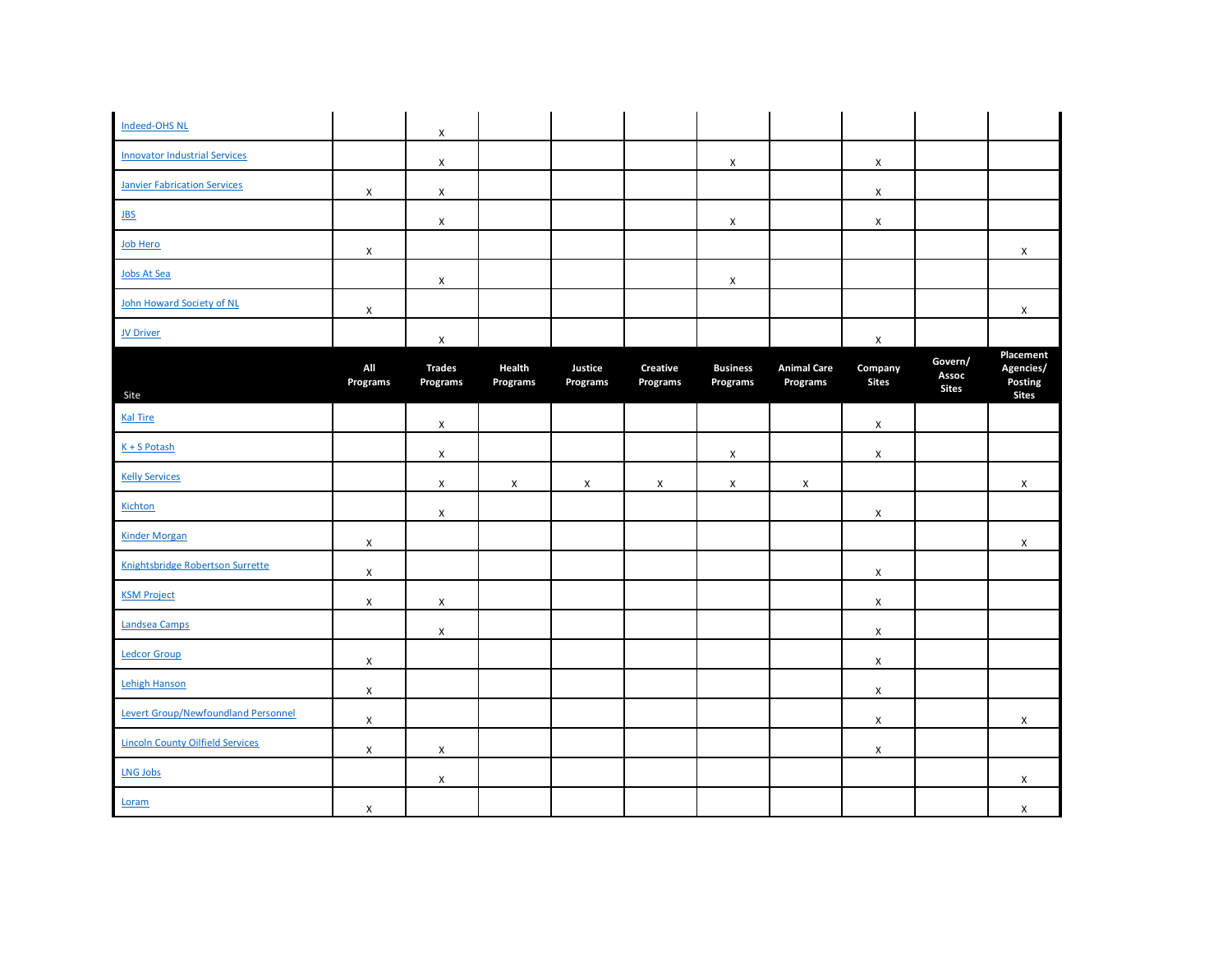| Indeed-OHS NL                              |                    | X                         |                    |                           |                             |                             |                                |                         |                                  |                                   |
|--------------------------------------------|--------------------|---------------------------|--------------------|---------------------------|-----------------------------|-----------------------------|--------------------------------|-------------------------|----------------------------------|-----------------------------------|
| <b>Innovator Industrial Services</b>       |                    | X                         |                    |                           |                             | X                           |                                | X                       |                                  |                                   |
| <b>Janvier Fabrication Services</b>        | X                  | X                         |                    |                           |                             |                             |                                | $\pmb{\times}$          |                                  |                                   |
| JBS                                        |                    | X                         |                    |                           |                             | X                           |                                | X                       |                                  |                                   |
| Job Hero                                   | $\pmb{\times}$     |                           |                    |                           |                             |                             |                                |                         |                                  | X                                 |
| Jobs At Sea                                |                    | X                         |                    |                           |                             | X                           |                                |                         |                                  |                                   |
| John Howard Society of NL                  | X                  |                           |                    |                           |                             |                             |                                |                         |                                  | X                                 |
| <b>JV Driver</b>                           |                    | X                         |                    |                           |                             |                             |                                | X                       |                                  |                                   |
|                                            | All<br>Programs    | <b>Trades</b><br>Programs | Health<br>Programs | Justice<br>Programs       | Creative<br><b>Programs</b> | <b>Business</b><br>Programs | <b>Animal Care</b><br>Programs | Company<br><b>Sites</b> | Govern/<br>Assoc<br><b>Sites</b> | Placement<br>Agencies/<br>Posting |
| Site<br><b>Kal Tire</b>                    |                    |                           |                    |                           |                             |                             |                                |                         |                                  | <b>Sites</b>                      |
|                                            |                    | X                         |                    |                           |                             |                             |                                | X                       |                                  |                                   |
| $K + S$ Potash                             |                    | X                         |                    |                           |                             | X                           |                                | X                       |                                  |                                   |
| <b>Kelly Services</b>                      |                    | $\mathsf X$               | $\pmb{\mathsf{X}}$ | $\boldsymbol{\mathsf{X}}$ | X                           | $\mathsf X$                 | X                              |                         |                                  | $\mathsf{X}$                      |
| Kichton                                    |                    | $\pmb{\mathsf{X}}$        |                    |                           |                             |                             |                                | $\mathsf X$             |                                  |                                   |
| <b>Kinder Morgan</b>                       | $\pmb{\mathsf{X}}$ |                           |                    |                           |                             |                             |                                |                         |                                  | X                                 |
| Knightsbridge Robertson Surrette           | X                  |                           |                    |                           |                             |                             |                                | $\pmb{\times}$          |                                  |                                   |
| <b>KSM Project</b>                         | X                  | X                         |                    |                           |                             |                             |                                | X                       |                                  |                                   |
| Landsea Camps                              |                    | $\pmb{\mathsf{X}}$        |                    |                           |                             |                             |                                | $\mathsf X$             |                                  |                                   |
| <b>Ledcor Group</b>                        | X                  |                           |                    |                           |                             |                             |                                | $\mathsf X$             |                                  |                                   |
| Lehigh Hanson                              | $\pmb{\mathsf{X}}$ |                           |                    |                           |                             |                             |                                | X                       |                                  |                                   |
| <b>Levert Group/Newfoundland Personnel</b> | $\mathsf{x}$       |                           |                    |                           |                             |                             |                                | X                       |                                  | X                                 |
| <b>Lincoln County Oilfield Services</b>    | $\pmb{\mathsf{X}}$ | X                         |                    |                           |                             |                             |                                | X                       |                                  |                                   |
| <b>LNG Jobs</b>                            |                    | X                         |                    |                           |                             |                             |                                |                         |                                  | $\pmb{\times}$                    |
| Loram                                      | X                  |                           |                    |                           |                             |                             |                                |                         |                                  | $\mathsf{X}$                      |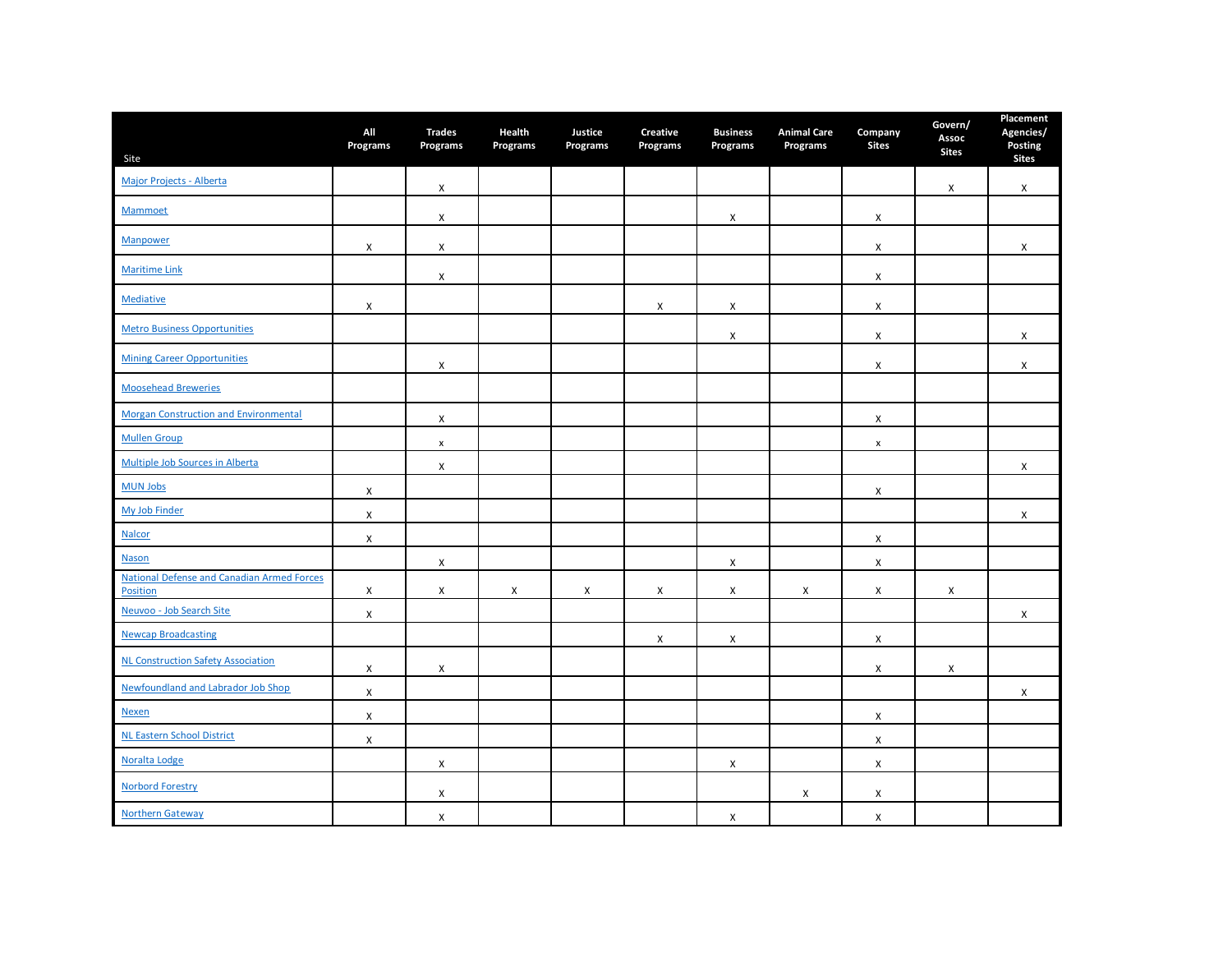| Site                                                   | All<br>Programs    | <b>Trades</b><br>Programs | Health<br>Programs | Justice<br>Programs | <b>Creative</b><br>Programs | <b>Business</b><br>Programs | <b>Animal Care</b><br>Programs | Company<br><b>Sites</b> | Govern/<br>Assoc<br><b>Sites</b> | Placement<br>Agencies/<br>Posting<br><b>Sites</b> |
|--------------------------------------------------------|--------------------|---------------------------|--------------------|---------------------|-----------------------------|-----------------------------|--------------------------------|-------------------------|----------------------------------|---------------------------------------------------|
| Major Projects - Alberta                               |                    | X                         |                    |                     |                             |                             |                                |                         | X                                | X                                                 |
| Mammoet                                                |                    | X                         |                    |                     |                             | X                           |                                | X                       |                                  |                                                   |
| Manpower                                               | X                  | X                         |                    |                     |                             |                             |                                | X                       |                                  | X                                                 |
| <b>Maritime Link</b>                                   |                    | X                         |                    |                     |                             |                             |                                | X                       |                                  |                                                   |
| <b>Mediative</b>                                       | X                  |                           |                    |                     | X                           | X                           |                                | X                       |                                  |                                                   |
| <b>Metro Business Opportunities</b>                    |                    |                           |                    |                     |                             | X                           |                                | X                       |                                  | X                                                 |
| <b>Mining Career Opportunities</b>                     |                    | X                         |                    |                     |                             |                             |                                | X                       |                                  | X                                                 |
| <b>Moosehead Breweries</b>                             |                    |                           |                    |                     |                             |                             |                                |                         |                                  |                                                   |
| <b>Morgan Construction and Environmental</b>           |                    | X                         |                    |                     |                             |                             |                                | X                       |                                  |                                                   |
| <b>Mullen Group</b>                                    |                    | $\pmb{\mathsf{x}}$        |                    |                     |                             |                             |                                | $\pmb{\mathsf{x}}$      |                                  |                                                   |
| Multiple Job Sources in Alberta                        |                    | X                         |                    |                     |                             |                             |                                |                         |                                  | X                                                 |
| <b>MUN Jobs</b>                                        | X                  |                           |                    |                     |                             |                             |                                | X                       |                                  |                                                   |
| My Job Finder                                          | $\pmb{\mathsf{X}}$ |                           |                    |                     |                             |                             |                                |                         |                                  | X                                                 |
| <b>Nalcor</b>                                          | $\pmb{\mathsf{X}}$ |                           |                    |                     |                             |                             |                                | X                       |                                  |                                                   |
| <b>Nason</b>                                           |                    | X                         |                    |                     |                             | X                           |                                | $\pmb{\mathsf{X}}$      |                                  |                                                   |
| National Defense and Canadian Armed Forces<br>Position | X                  | X                         | X                  | X                   | X                           | X                           | X                              | X                       | X                                |                                                   |
| Neuvoo - Job Search Site                               | $\mathsf{x}$       |                           |                    |                     |                             |                             |                                |                         |                                  | X                                                 |
| <b>Newcap Broadcasting</b>                             |                    |                           |                    |                     | X                           | X                           |                                | X                       |                                  |                                                   |
| <b>NL Construction Safety Association</b>              | X                  | X                         |                    |                     |                             |                             |                                | X                       | X                                |                                                   |
| Newfoundland and Labrador Job Shop                     | X                  |                           |                    |                     |                             |                             |                                |                         |                                  | X                                                 |
| <b>Nexen</b>                                           | X                  |                           |                    |                     |                             |                             |                                | X                       |                                  |                                                   |
| <b>NL Eastern School District</b>                      | X                  |                           |                    |                     |                             |                             |                                | X                       |                                  |                                                   |
| Noralta Lodge                                          |                    | X                         |                    |                     |                             | X                           |                                | X                       |                                  |                                                   |
| <b>Norbord Forestry</b>                                |                    | X                         |                    |                     |                             |                             | X                              | X                       |                                  |                                                   |
| <b>Northern Gateway</b>                                |                    | X                         |                    |                     |                             | X                           |                                | $\pmb{\times}$          |                                  |                                                   |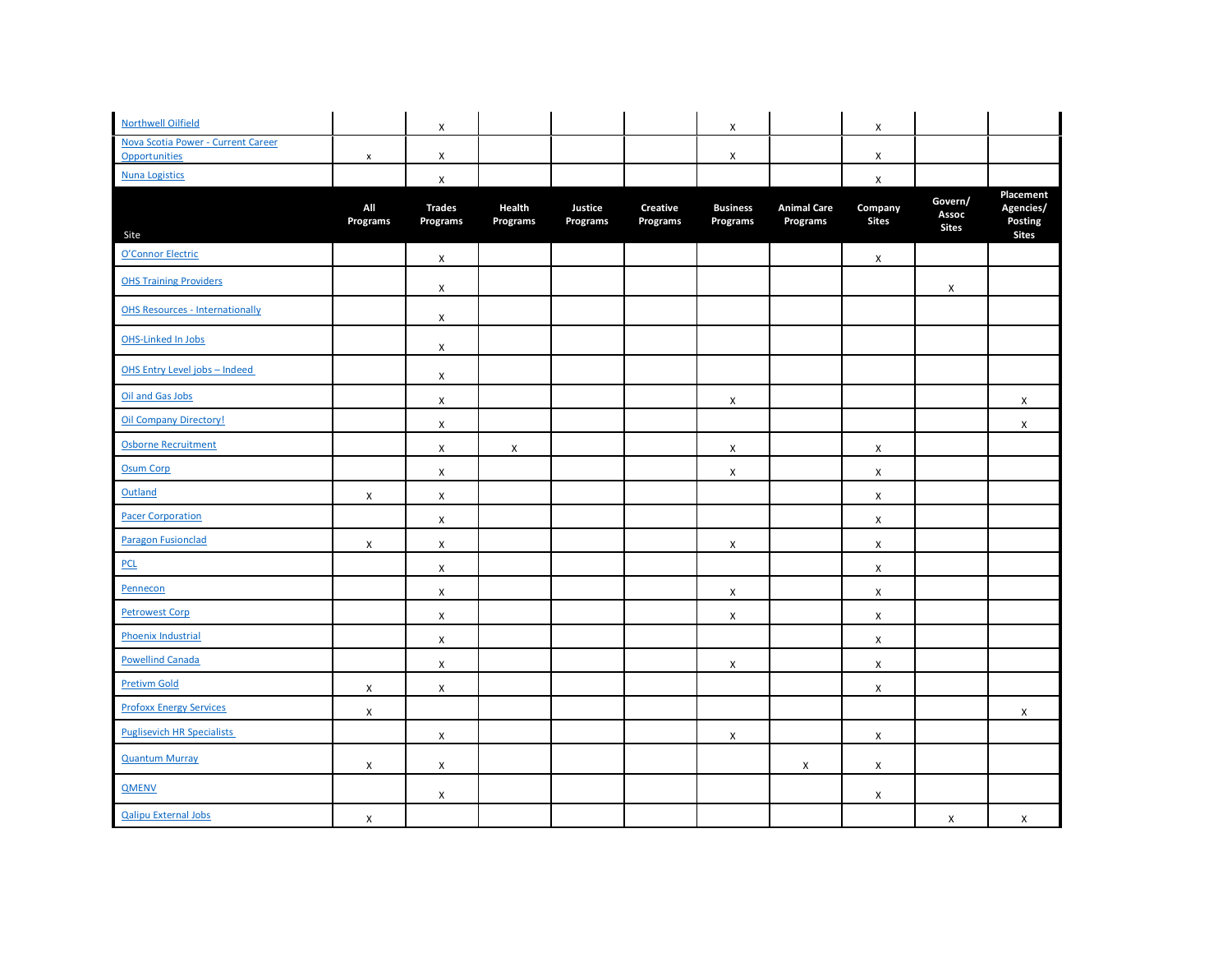| <b>Northwell Oilfield</b>                           |                           | X                         |                    |                     |                             | $\pmb{\chi}$                |                                | X                       |                                  |                                                   |
|-----------------------------------------------------|---------------------------|---------------------------|--------------------|---------------------|-----------------------------|-----------------------------|--------------------------------|-------------------------|----------------------------------|---------------------------------------------------|
| Nova Scotia Power - Current Career<br>Opportunities | $\pmb{\times}$            | X                         |                    |                     |                             | X                           |                                | X                       |                                  |                                                   |
| <b>Nuna Logistics</b>                               |                           | X                         |                    |                     |                             |                             |                                | X                       |                                  |                                                   |
| Site                                                | All<br>Programs           | <b>Trades</b><br>Programs | Health<br>Programs | Justice<br>Programs | <b>Creative</b><br>Programs | <b>Business</b><br>Programs | <b>Animal Care</b><br>Programs | Company<br><b>Sites</b> | Govern/<br>Assoc<br><b>Sites</b> | Placement<br>Agencies/<br>Posting<br><b>Sites</b> |
| O'Connor Electric                                   |                           | $\mathsf X$               |                    |                     |                             |                             |                                | X                       |                                  |                                                   |
| <b>OHS Training Providers</b>                       |                           | X                         |                    |                     |                             |                             |                                |                         | X                                |                                                   |
| <b>OHS Resources - Internationally</b>              |                           | $\mathsf X$               |                    |                     |                             |                             |                                |                         |                                  |                                                   |
| <b>OHS-Linked In Jobs</b>                           |                           | X                         |                    |                     |                             |                             |                                |                         |                                  |                                                   |
| OHS Entry Level jobs - Indeed                       |                           | X                         |                    |                     |                             |                             |                                |                         |                                  |                                                   |
| Oil and Gas Jobs                                    |                           | X                         |                    |                     |                             | X                           |                                |                         |                                  | X                                                 |
| <b>Oil Company Directory!</b>                       |                           | X                         |                    |                     |                             |                             |                                |                         |                                  | X                                                 |
| Osborne Recruitment                                 |                           | $\mathsf{x}$              | X                  |                     |                             | $\mathsf X$                 |                                | X                       |                                  |                                                   |
| <b>Osum Corp</b>                                    |                           | X                         |                    |                     |                             | X                           |                                | X                       |                                  |                                                   |
| Outland                                             | X                         | X                         |                    |                     |                             |                             |                                | X                       |                                  |                                                   |
| <b>Pacer Corporation</b>                            |                           | X                         |                    |                     |                             |                             |                                | X                       |                                  |                                                   |
| <b>Paragon Fusionclad</b>                           | $\mathsf{x}$              | $\mathsf{x}$              |                    |                     |                             | X                           |                                | X                       |                                  |                                                   |
| <b>PCL</b>                                          |                           | X                         |                    |                     |                             |                             |                                | X                       |                                  |                                                   |
| Pennecon                                            |                           | X                         |                    |                     |                             | X                           |                                | X                       |                                  |                                                   |
| <b>Petrowest Corp</b>                               |                           | X                         |                    |                     |                             | X                           |                                | X                       |                                  |                                                   |
| Phoenix Industrial                                  |                           | $\mathsf{x}$              |                    |                     |                             |                             |                                | X                       |                                  |                                                   |
| <b>Powellind Canada</b>                             |                           | X                         |                    |                     |                             | X                           |                                | X                       |                                  |                                                   |
| <b>Pretivm Gold</b>                                 | X                         | X                         |                    |                     |                             |                             |                                | X                       |                                  |                                                   |
| <b>Profoxx Energy Services</b>                      | X                         |                           |                    |                     |                             |                             |                                |                         |                                  | X                                                 |
| <b>Puglisevich HR Specialists</b>                   |                           | X                         |                    |                     |                             | X                           |                                | X                       |                                  |                                                   |
| <b>Quantum Murray</b>                               | $\mathsf{X}$              | $\mathsf{X}$              |                    |                     |                             |                             | X                              | $\pmb{\mathsf{X}}$      |                                  |                                                   |
| <b>QMENV</b>                                        |                           | X                         |                    |                     |                             |                             |                                | X                       |                                  |                                                   |
| <b>Qalipu External Jobs</b>                         | $\boldsymbol{\mathsf{X}}$ |                           |                    |                     |                             |                             |                                |                         | $\mathsf{x}$                     | $\mathsf{x}$                                      |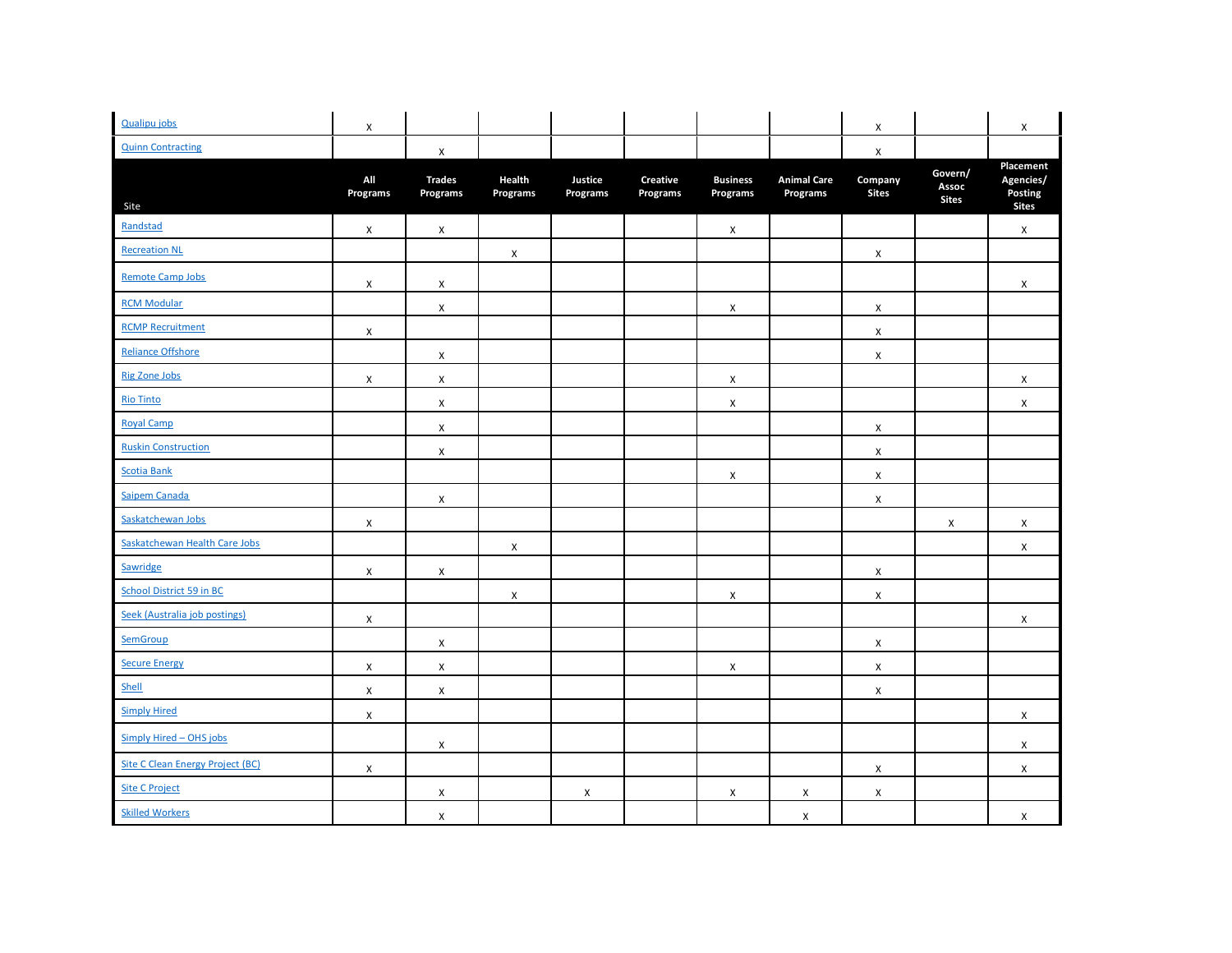| <b>Qualipu jobs</b>              | X                  |                           |                    |                     |                             |                             |                                | X                       |                                  | X                                                 |
|----------------------------------|--------------------|---------------------------|--------------------|---------------------|-----------------------------|-----------------------------|--------------------------------|-------------------------|----------------------------------|---------------------------------------------------|
| <b>Quinn Contracting</b>         |                    | $\pmb{\mathsf{X}}$        |                    |                     |                             |                             |                                | $\pmb{\times}$          |                                  |                                                   |
| Site                             | All<br>Programs    | <b>Trades</b><br>Programs | Health<br>Programs | Justice<br>Programs | <b>Creative</b><br>Programs | <b>Business</b><br>Programs | <b>Animal Care</b><br>Programs | Company<br><b>Sites</b> | Govern/<br>Assoc<br><b>Sites</b> | Placement<br>Agencies/<br>Posting<br><b>Sites</b> |
| Randstad                         | $\pmb{\mathsf{X}}$ | X                         |                    |                     |                             | $\pmb{\chi}$                |                                |                         |                                  | X                                                 |
| <b>Recreation NL</b>             |                    |                           | X                  |                     |                             |                             |                                | X                       |                                  |                                                   |
| <b>Remote Camp Jobs</b>          | X                  | X                         |                    |                     |                             |                             |                                |                         |                                  | X                                                 |
| <b>RCM Modular</b>               |                    | X                         |                    |                     |                             | X                           |                                | X                       |                                  |                                                   |
| <b>RCMP Recruitment</b>          | X                  |                           |                    |                     |                             |                             |                                | X                       |                                  |                                                   |
| <b>Reliance Offshore</b>         |                    | X                         |                    |                     |                             |                             |                                | X                       |                                  |                                                   |
| <b>Rig Zone Jobs</b>             | X                  | X                         |                    |                     |                             | X                           |                                |                         |                                  | X                                                 |
| <b>Rio Tinto</b>                 |                    | X                         |                    |                     |                             | X                           |                                |                         |                                  | X                                                 |
| <b>Royal Camp</b>                |                    | X                         |                    |                     |                             |                             |                                | X                       |                                  |                                                   |
| <b>Ruskin Construction</b>       |                    | $\mathsf X$               |                    |                     |                             |                             |                                | X                       |                                  |                                                   |
| <b>Scotia Bank</b>               |                    |                           |                    |                     |                             | X                           |                                | $\pmb{\mathsf{X}}$      |                                  |                                                   |
| Saipem Canada                    |                    | $\pmb{\mathsf{X}}$        |                    |                     |                             |                             |                                | $\pmb{\times}$          |                                  |                                                   |
| Saskatchewan Jobs                | X                  |                           |                    |                     |                             |                             |                                |                         | X                                | $\mathsf X$                                       |
| Saskatchewan Health Care Jobs    |                    |                           | $\pmb{\times}$     |                     |                             |                             |                                |                         |                                  | X                                                 |
| Sawridge                         | X                  | X                         |                    |                     |                             |                             |                                | X                       |                                  |                                                   |
| School District 59 in BC         |                    |                           | X                  |                     |                             | X                           |                                | X                       |                                  |                                                   |
| Seek (Australia job postings)    | X                  |                           |                    |                     |                             |                             |                                |                         |                                  | X                                                 |
| SemGroup                         |                    | X                         |                    |                     |                             |                             |                                | X                       |                                  |                                                   |
| <b>Secure Energy</b>             | X                  | $\mathsf X$               |                    |                     |                             | X                           |                                | $\pmb{\mathsf{X}}$      |                                  |                                                   |
| Shell                            | X                  | $\mathsf{X}$              |                    |                     |                             |                             |                                | X                       |                                  |                                                   |
| <b>Simply Hired</b>              | $\mathsf{X}$       |                           |                    |                     |                             |                             |                                |                         |                                  | X                                                 |
| Simply Hired - OHS jobs          |                    | X                         |                    |                     |                             |                             |                                |                         |                                  | X                                                 |
| Site C Clean Energy Project (BC) | X                  |                           |                    |                     |                             |                             |                                | X                       |                                  | X                                                 |
| <b>Site C Project</b>            |                    | X                         |                    | X                   |                             | X                           | X                              | X                       |                                  |                                                   |
| <b>Skilled Workers</b>           |                    | X                         |                    |                     |                             |                             | X                              |                         |                                  | X                                                 |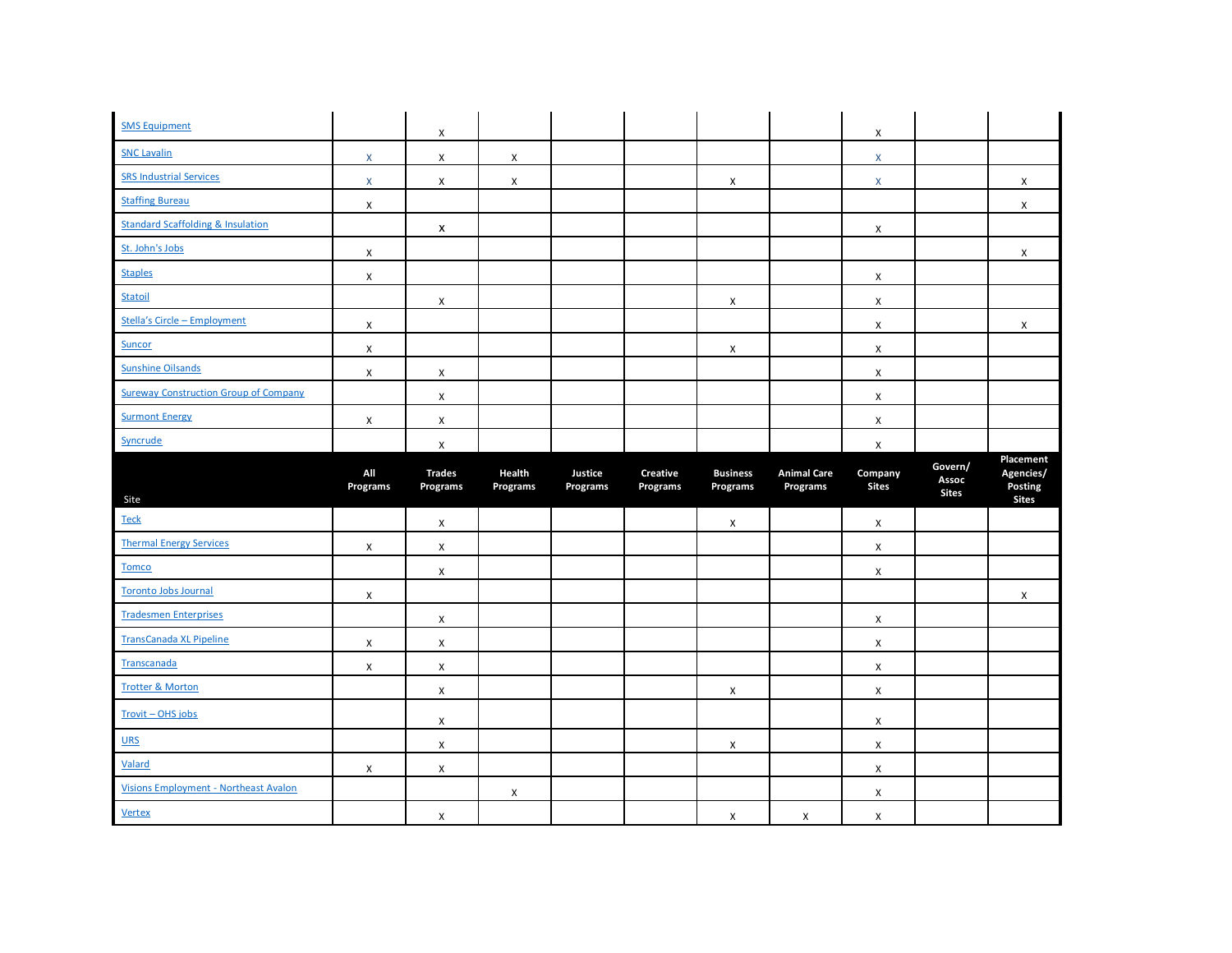| <b>SMS Equipment</b>                         |                 | X                         |                    |                     |                      |                             |                                | X                       |                                  |                                      |
|----------------------------------------------|-----------------|---------------------------|--------------------|---------------------|----------------------|-----------------------------|--------------------------------|-------------------------|----------------------------------|--------------------------------------|
| <b>SNC Lavalin</b>                           | $\mathsf{X}$    | X                         | X                  |                     |                      |                             |                                | $\pmb{\times}$          |                                  |                                      |
| <b>SRS Industrial Services</b>               | $\mathsf{X}$    | X                         | X                  |                     |                      | X                           |                                | X                       |                                  | X                                    |
| <b>Staffing Bureau</b>                       | X               |                           |                    |                     |                      |                             |                                |                         |                                  | X                                    |
| <b>Standard Scaffolding &amp; Insulation</b> |                 | x                         |                    |                     |                      |                             |                                | X                       |                                  |                                      |
| St. John's Jobs                              | X               |                           |                    |                     |                      |                             |                                |                         |                                  | X                                    |
| <b>Staples</b>                               | X               |                           |                    |                     |                      |                             |                                | X                       |                                  |                                      |
| Statoil                                      |                 | X                         |                    |                     |                      | X                           |                                | X                       |                                  |                                      |
| Stella's Circle - Employment                 | X               |                           |                    |                     |                      |                             |                                | X                       |                                  | X                                    |
| Suncor                                       | X               |                           |                    |                     |                      | X                           |                                | X                       |                                  |                                      |
| <b>Sunshine Oilsands</b>                     | X               | X                         |                    |                     |                      |                             |                                | X                       |                                  |                                      |
| <b>Sureway Construction Group of Company</b> |                 | X                         |                    |                     |                      |                             |                                | X                       |                                  |                                      |
| <b>Surmont Energy</b>                        | X               | X                         |                    |                     |                      |                             |                                | X                       |                                  |                                      |
| Syncrude                                     |                 | $\pmb{\mathsf{X}}$        |                    |                     |                      |                             |                                | X                       |                                  |                                      |
|                                              |                 |                           |                    |                     |                      |                             |                                |                         |                                  | Placement                            |
| Site                                         | All<br>Programs | <b>Trades</b><br>Programs | Health<br>Programs | Justice<br>Programs | Creative<br>Programs | <b>Business</b><br>Programs | <b>Animal Care</b><br>Programs | Company<br><b>Sites</b> | Govern/<br>Assoc<br><b>Sites</b> | Agencies/<br>Posting<br><b>Sites</b> |
| <b>Teck</b>                                  |                 | X                         |                    |                     |                      | X                           |                                | X                       |                                  |                                      |
| <b>Thermal Energy Services</b>               | X               | X                         |                    |                     |                      |                             |                                | X                       |                                  |                                      |
| <b>Tomco</b>                                 |                 | X                         |                    |                     |                      |                             |                                | X                       |                                  |                                      |
| <b>Toronto Jobs Journal</b>                  | X               |                           |                    |                     |                      |                             |                                |                         |                                  | X                                    |
| <b>Tradesmen Enterprises</b>                 |                 | X                         |                    |                     |                      |                             |                                | X                       |                                  |                                      |
| <b>TransCanada XL Pipeline</b>               | X               | X                         |                    |                     |                      |                             |                                | X                       |                                  |                                      |
| Transcanada                                  | X               | X                         |                    |                     |                      |                             |                                | X                       |                                  |                                      |
| <b>Trotter &amp; Morton</b>                  |                 | $\pmb{\times}$            |                    |                     |                      | X                           |                                | X                       |                                  |                                      |
| Trovit - OHS jobs                            |                 | X                         |                    |                     |                      |                             |                                | X                       |                                  |                                      |
| $URS$                                        |                 | X                         |                    |                     |                      | X                           |                                | X                       |                                  |                                      |
| Valard                                       | X               | X                         |                    |                     |                      |                             |                                | X                       |                                  |                                      |
| <b>Visions Employment - Northeast Avalon</b> |                 |                           | X                  |                     |                      |                             |                                | X                       |                                  |                                      |